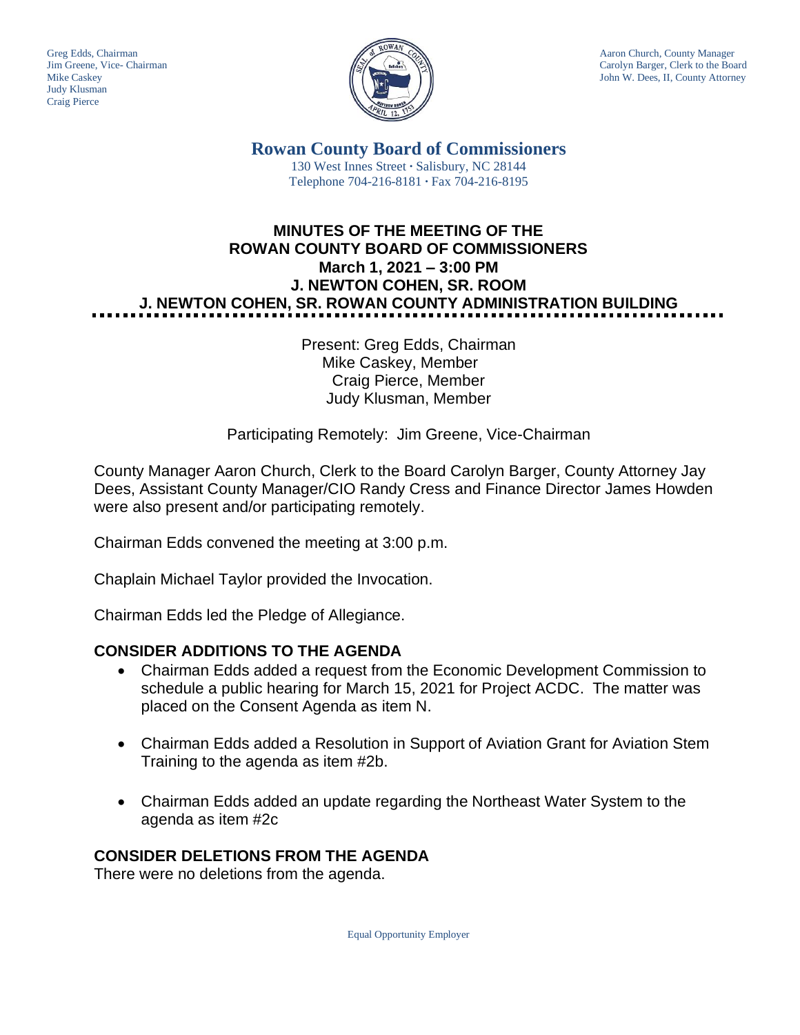Judy Klusman Craig Pierce



Greg Edds, Chairman Aaron Church, County Manager<br>Jim Greene, Vice- Chairman Aaron Church, County Manager<br>Carolyn Barger, Clerk to the Boa Carolyn Barger, Clerk to the Board Mike Caskey John W. Dees, II, County Attorney

> **Rowan County Board of Commissioners** 130 West Innes Street **∙** Salisbury, NC 28144 Telephone 704-216-8181 **∙** Fax 704-216-8195

# **MINUTES OF THE MEETING OF THE ROWAN COUNTY BOARD OF COMMISSIONERS March 1, 2021 – 3:00 PM J. NEWTON COHEN, SR. ROOM J. NEWTON COHEN, SR. ROWAN COUNTY ADMINISTRATION BUILDING**

Present: Greg Edds, Chairman Mike Caskey, Member Craig Pierce, Member Judy Klusman, Member

Participating Remotely: Jim Greene, Vice-Chairman

County Manager Aaron Church, Clerk to the Board Carolyn Barger, County Attorney Jay Dees, Assistant County Manager/CIO Randy Cress and Finance Director James Howden were also present and/or participating remotely.

Chairman Edds convened the meeting at 3:00 p.m.

Chaplain Michael Taylor provided the Invocation.

Chairman Edds led the Pledge of Allegiance.

# **CONSIDER ADDITIONS TO THE AGENDA**

- Chairman Edds added a request from the Economic Development Commission to schedule a public hearing for March 15, 2021 for Project ACDC. The matter was placed on the Consent Agenda as item N.
- Chairman Edds added a Resolution in Support of Aviation Grant for Aviation Stem Training to the agenda as item #2b.
- Chairman Edds added an update regarding the Northeast Water System to the agenda as item #2c

# **CONSIDER DELETIONS FROM THE AGENDA**

There were no deletions from the agenda.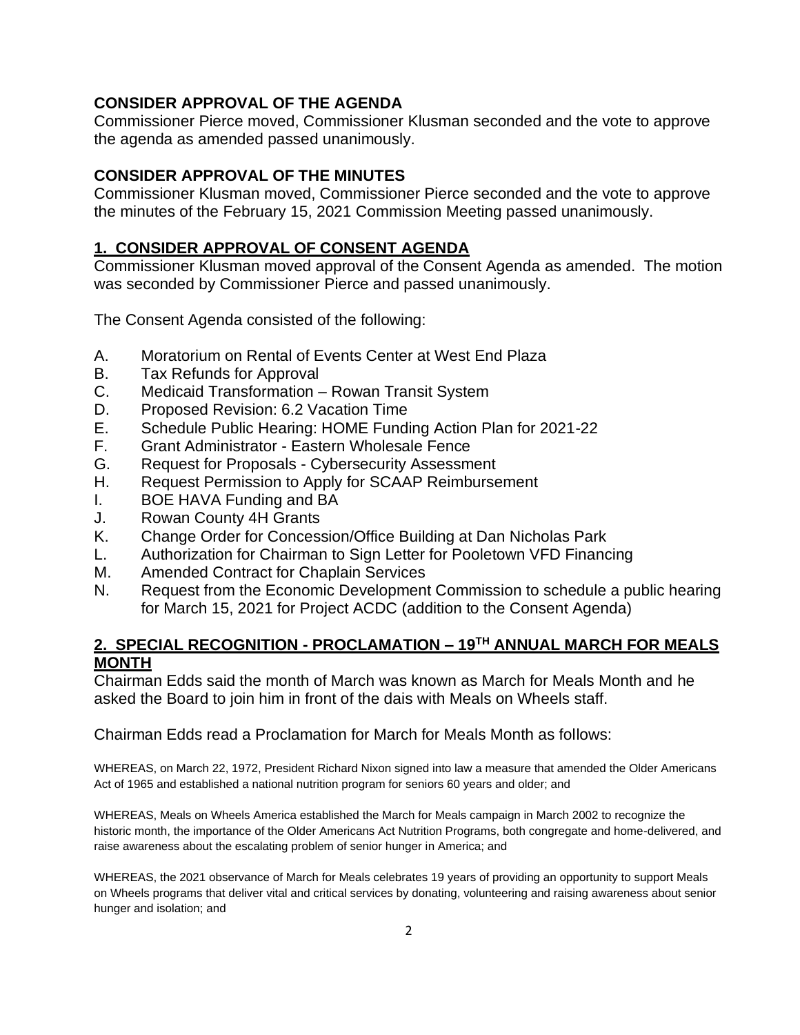# **CONSIDER APPROVAL OF THE AGENDA**

Commissioner Pierce moved, Commissioner Klusman seconded and the vote to approve the agenda as amended passed unanimously.

### **CONSIDER APPROVAL OF THE MINUTES**

Commissioner Klusman moved, Commissioner Pierce seconded and the vote to approve the minutes of the February 15, 2021 Commission Meeting passed unanimously.

# **1. CONSIDER APPROVAL OF CONSENT AGENDA**

Commissioner Klusman moved approval of the Consent Agenda as amended. The motion was seconded by Commissioner Pierce and passed unanimously.

The Consent Agenda consisted of the following:

- A. Moratorium on Rental of Events Center at West End Plaza
- B. Tax Refunds for Approval
- C. Medicaid Transformation Rowan Transit System
- D. Proposed Revision: 6.2 Vacation Time
- E. Schedule Public Hearing: HOME Funding Action Plan for 2021-22
- F. Grant Administrator Eastern Wholesale Fence
- G. Request for Proposals Cybersecurity Assessment
- H. Request Permission to Apply for SCAAP Reimbursement
- I. BOE HAVA Funding and BA
- J. Rowan County 4H Grants
- K. Change Order for Concession/Office Building at Dan Nicholas Park
- L. Authorization for Chairman to Sign Letter for Pooletown VFD Financing
- M. Amended Contract for Chaplain Services
- N. Request from the Economic Development Commission to schedule a public hearing for March 15, 2021 for Project ACDC (addition to the Consent Agenda)

# **2. SPECIAL RECOGNITION - PROCLAMATION – 19TH ANNUAL MARCH FOR MEALS MONTH**

Chairman Edds said the month of March was known as March for Meals Month and he asked the Board to join him in front of the dais with Meals on Wheels staff.

### Chairman Edds read a Proclamation for March for Meals Month as follows:

WHEREAS, on March 22, 1972, President Richard Nixon signed into law a measure that amended the Older Americans Act of 1965 and established a national nutrition program for seniors 60 years and older; and

WHEREAS, Meals on Wheels America established the March for Meals campaign in March 2002 to recognize the historic month, the importance of the Older Americans Act Nutrition Programs, both congregate and home-delivered, and raise awareness about the escalating problem of senior hunger in America; and

WHEREAS, the 2021 observance of March for Meals celebrates 19 years of providing an opportunity to support Meals on Wheels programs that deliver vital and critical services by donating, volunteering and raising awareness about senior hunger and isolation; and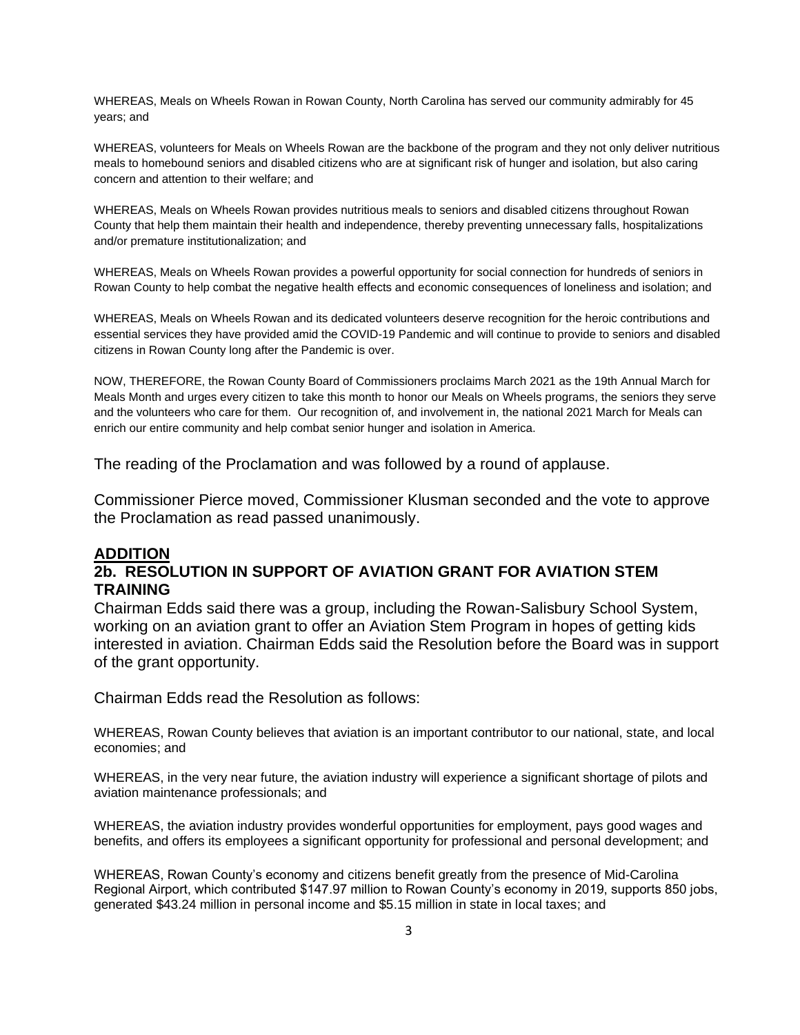WHEREAS, Meals on Wheels Rowan in Rowan County, North Carolina has served our community admirably for 45 years; and

WHEREAS, volunteers for Meals on Wheels Rowan are the backbone of the program and they not only deliver nutritious meals to homebound seniors and disabled citizens who are at significant risk of hunger and isolation, but also caring concern and attention to their welfare; and

WHEREAS, Meals on Wheels Rowan provides nutritious meals to seniors and disabled citizens throughout Rowan County that help them maintain their health and independence, thereby preventing unnecessary falls, hospitalizations and/or premature institutionalization; and

WHEREAS, Meals on Wheels Rowan provides a powerful opportunity for social connection for hundreds of seniors in Rowan County to help combat the negative health effects and economic consequences of loneliness and isolation; and

WHEREAS, Meals on Wheels Rowan and its dedicated volunteers deserve recognition for the heroic contributions and essential services they have provided amid the COVID-19 Pandemic and will continue to provide to seniors and disabled citizens in Rowan County long after the Pandemic is over.

NOW, THEREFORE, the Rowan County Board of Commissioners proclaims March 2021 as the 19th Annual March for Meals Month and urges every citizen to take this month to honor our Meals on Wheels programs, the seniors they serve and the volunteers who care for them. Our recognition of, and involvement in, the national 2021 March for Meals can enrich our entire community and help combat senior hunger and isolation in America.

The reading of the Proclamation and was followed by a round of applause.

Commissioner Pierce moved, Commissioner Klusman seconded and the vote to approve the Proclamation as read passed unanimously.

### **ADDITION**

### **2b. RESOLUTION IN SUPPORT OF AVIATION GRANT FOR AVIATION STEM TRAINING**

Chairman Edds said there was a group, including the Rowan-Salisbury School System, working on an aviation grant to offer an Aviation Stem Program in hopes of getting kids interested in aviation. Chairman Edds said the Resolution before the Board was in support of the grant opportunity.

Chairman Edds read the Resolution as follows:

WHEREAS, Rowan County believes that aviation is an important contributor to our national, state, and local economies; and

WHEREAS, in the very near future, the aviation industry will experience a significant shortage of pilots and aviation maintenance professionals; and

WHEREAS, the aviation industry provides wonderful opportunities for employment, pays good wages and benefits, and offers its employees a significant opportunity for professional and personal development; and

WHEREAS, Rowan County's economy and citizens benefit greatly from the presence of Mid-Carolina Regional Airport, which contributed \$147.97 million to Rowan County's economy in 2019, supports 850 jobs, generated \$43.24 million in personal income and \$5.15 million in state in local taxes; and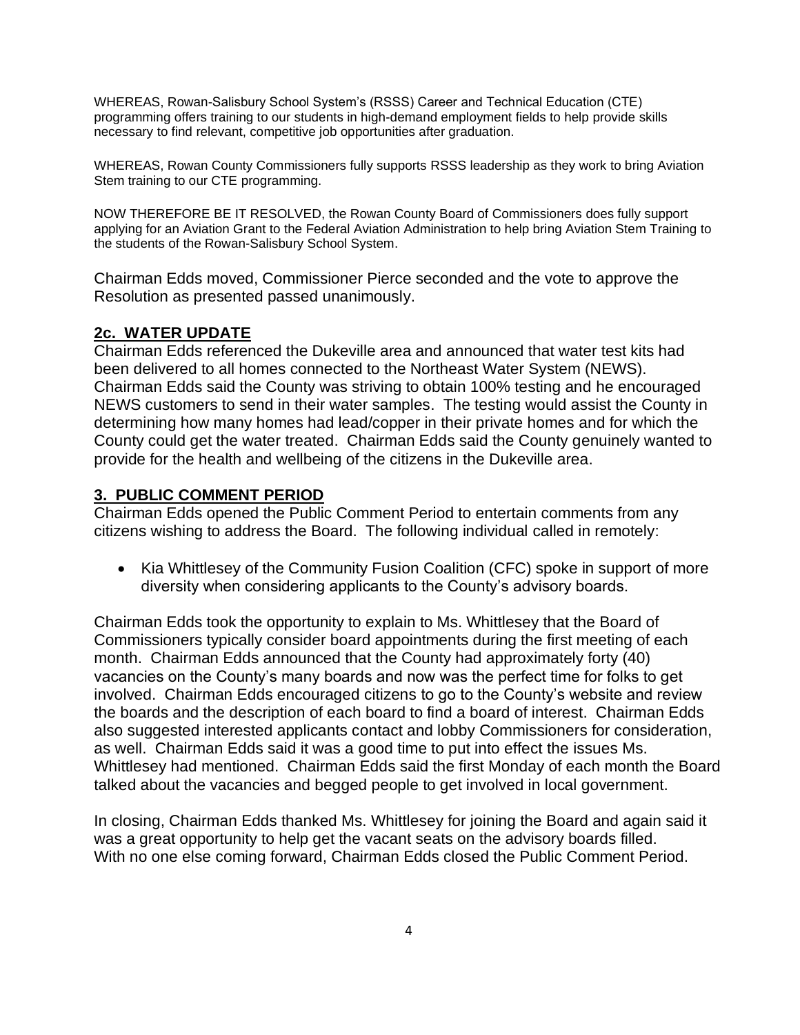WHEREAS, Rowan-Salisbury School System's (RSSS) Career and Technical Education (CTE) programming offers training to our students in high-demand employment fields to help provide skills necessary to find relevant, competitive job opportunities after graduation.

WHEREAS, Rowan County Commissioners fully supports RSSS leadership as they work to bring Aviation Stem training to our CTE programming.

NOW THEREFORE BE IT RESOLVED, the Rowan County Board of Commissioners does fully support applying for an Aviation Grant to the Federal Aviation Administration to help bring Aviation Stem Training to the students of the Rowan-Salisbury School System.

Chairman Edds moved, Commissioner Pierce seconded and the vote to approve the Resolution as presented passed unanimously.

# **2c. WATER UPDATE**

Chairman Edds referenced the Dukeville area and announced that water test kits had been delivered to all homes connected to the Northeast Water System (NEWS). Chairman Edds said the County was striving to obtain 100% testing and he encouraged NEWS customers to send in their water samples. The testing would assist the County in determining how many homes had lead/copper in their private homes and for which the County could get the water treated. Chairman Edds said the County genuinely wanted to provide for the health and wellbeing of the citizens in the Dukeville area.

### **3. PUBLIC COMMENT PERIOD**

Chairman Edds opened the Public Comment Period to entertain comments from any citizens wishing to address the Board. The following individual called in remotely:

• Kia Whittlesey of the Community Fusion Coalition (CFC) spoke in support of more diversity when considering applicants to the County's advisory boards.

Chairman Edds took the opportunity to explain to Ms. Whittlesey that the Board of Commissioners typically consider board appointments during the first meeting of each month. Chairman Edds announced that the County had approximately forty (40) vacancies on the County's many boards and now was the perfect time for folks to get involved. Chairman Edds encouraged citizens to go to the County's website and review the boards and the description of each board to find a board of interest. Chairman Edds also suggested interested applicants contact and lobby Commissioners for consideration, as well. Chairman Edds said it was a good time to put into effect the issues Ms. Whittlesey had mentioned. Chairman Edds said the first Monday of each month the Board talked about the vacancies and begged people to get involved in local government.

In closing, Chairman Edds thanked Ms. Whittlesey for joining the Board and again said it was a great opportunity to help get the vacant seats on the advisory boards filled. With no one else coming forward, Chairman Edds closed the Public Comment Period.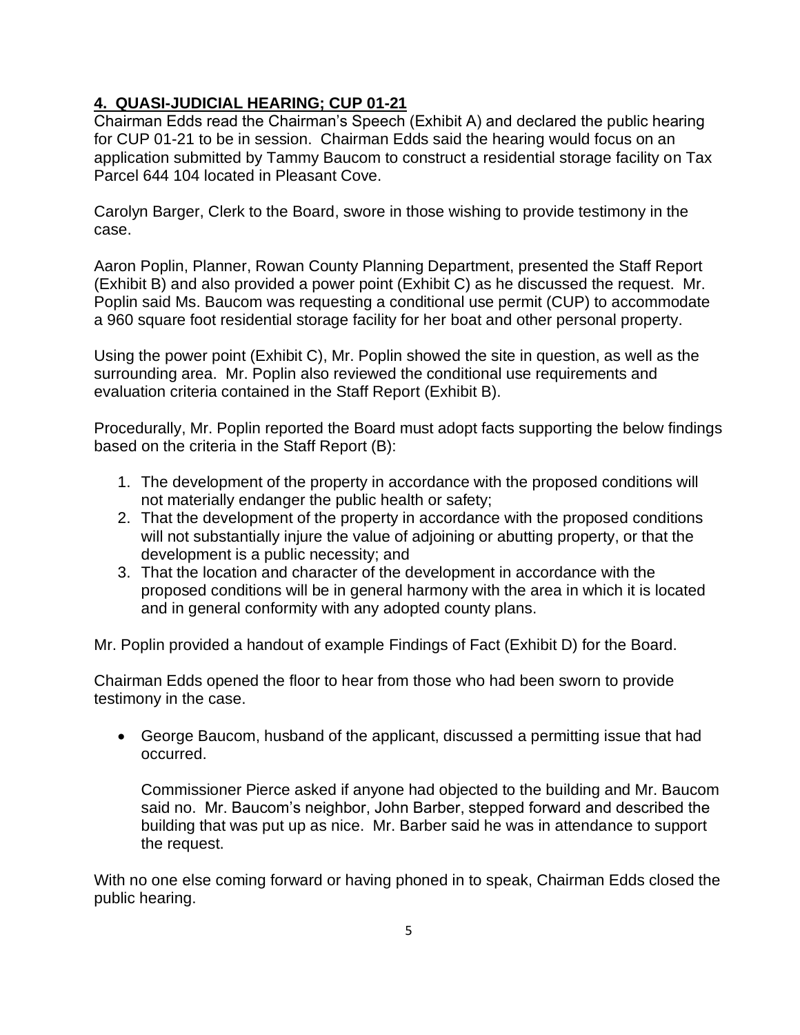# **4. QUASI-JUDICIAL HEARING; CUP 01-21**

Chairman Edds read the Chairman's Speech (Exhibit A) and declared the public hearing for CUP 01-21 to be in session. Chairman Edds said the hearing would focus on an application submitted by Tammy Baucom to construct a residential storage facility on Tax Parcel 644 104 located in Pleasant Cove.

Carolyn Barger, Clerk to the Board, swore in those wishing to provide testimony in the case.

Aaron Poplin, Planner, Rowan County Planning Department, presented the Staff Report (Exhibit B) and also provided a power point (Exhibit C) as he discussed the request. Mr. Poplin said Ms. Baucom was requesting a conditional use permit (CUP) to accommodate a 960 square foot residential storage facility for her boat and other personal property.

Using the power point (Exhibit C), Mr. Poplin showed the site in question, as well as the surrounding area. Mr. Poplin also reviewed the conditional use requirements and evaluation criteria contained in the Staff Report (Exhibit B).

Procedurally, Mr. Poplin reported the Board must adopt facts supporting the below findings based on the criteria in the Staff Report (B):

- 1. The development of the property in accordance with the proposed conditions will not materially endanger the public health or safety;
- 2. That the development of the property in accordance with the proposed conditions will not substantially injure the value of adjoining or abutting property, or that the development is a public necessity; and
- 3. That the location and character of the development in accordance with the proposed conditions will be in general harmony with the area in which it is located and in general conformity with any adopted county plans.

Mr. Poplin provided a handout of example Findings of Fact (Exhibit D) for the Board.

Chairman Edds opened the floor to hear from those who had been sworn to provide testimony in the case.

• George Baucom, husband of the applicant, discussed a permitting issue that had occurred.

Commissioner Pierce asked if anyone had objected to the building and Mr. Baucom said no. Mr. Baucom's neighbor, John Barber, stepped forward and described the building that was put up as nice. Mr. Barber said he was in attendance to support the request.

With no one else coming forward or having phoned in to speak, Chairman Edds closed the public hearing.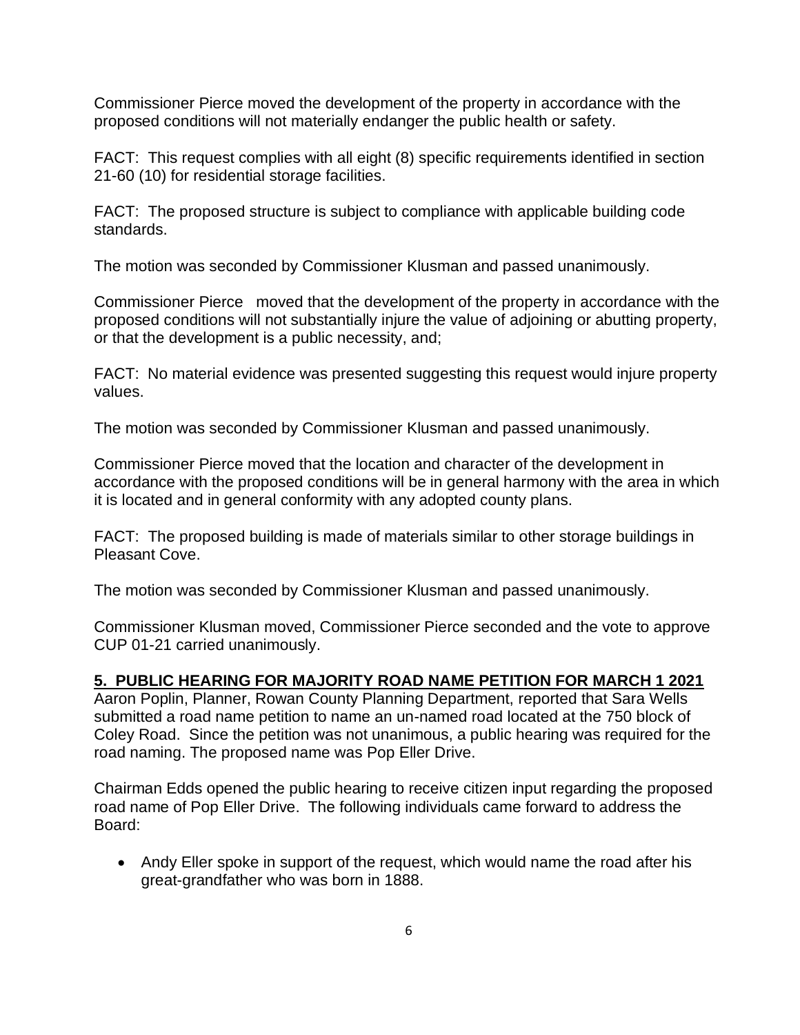Commissioner Pierce moved the development of the property in accordance with the proposed conditions will not materially endanger the public health or safety.

FACT: This request complies with all eight (8) specific requirements identified in section 21-60 (10) for residential storage facilities.

FACT: The proposed structure is subject to compliance with applicable building code standards.

The motion was seconded by Commissioner Klusman and passed unanimously.

Commissioner Pierce moved that the development of the property in accordance with the proposed conditions will not substantially injure the value of adjoining or abutting property, or that the development is a public necessity, and;

FACT: No material evidence was presented suggesting this request would injure property values.

The motion was seconded by Commissioner Klusman and passed unanimously.

Commissioner Pierce moved that the location and character of the development in accordance with the proposed conditions will be in general harmony with the area in which it is located and in general conformity with any adopted county plans.

FACT: The proposed building is made of materials similar to other storage buildings in Pleasant Cove.

The motion was seconded by Commissioner Klusman and passed unanimously.

Commissioner Klusman moved, Commissioner Pierce seconded and the vote to approve CUP 01-21 carried unanimously.

### **5. PUBLIC HEARING FOR MAJORITY ROAD NAME PETITION FOR MARCH 1 2021**

Aaron Poplin, Planner, Rowan County Planning Department, reported that Sara Wells submitted a road name petition to name an un-named road located at the 750 block of Coley Road. Since the petition was not unanimous, a public hearing was required for the road naming. The proposed name was Pop Eller Drive.

Chairman Edds opened the public hearing to receive citizen input regarding the proposed road name of Pop Eller Drive. The following individuals came forward to address the Board:

• Andy Eller spoke in support of the request, which would name the road after his great-grandfather who was born in 1888.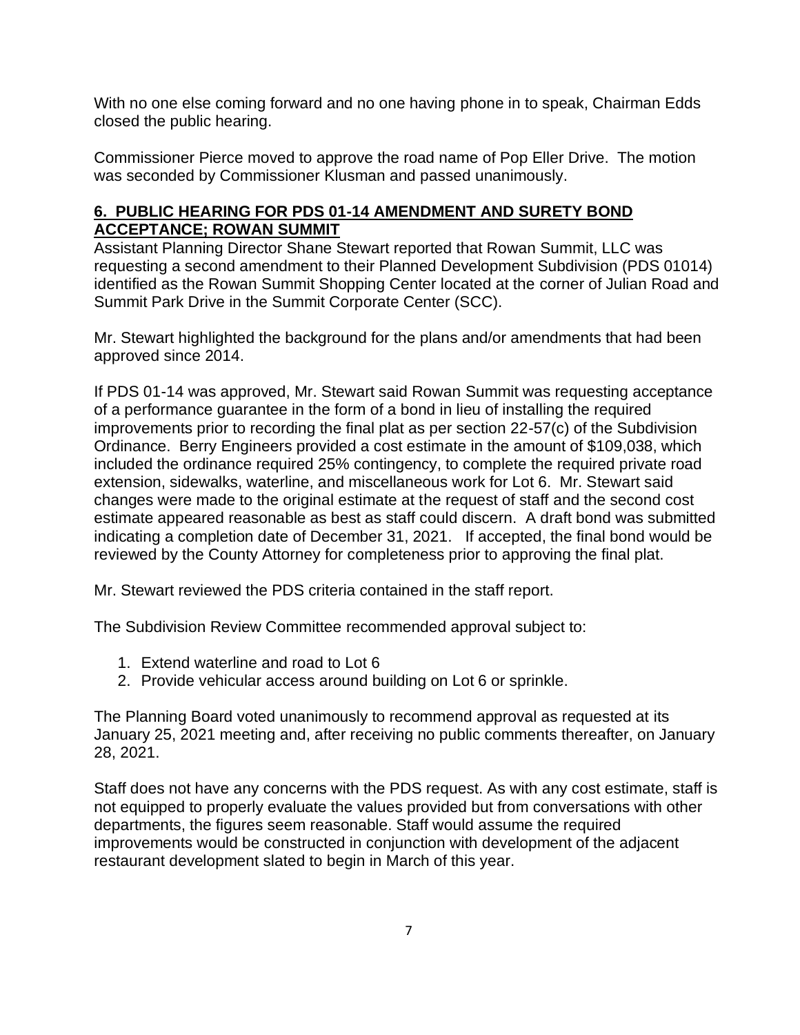With no one else coming forward and no one having phone in to speak, Chairman Edds closed the public hearing.

Commissioner Pierce moved to approve the road name of Pop Eller Drive. The motion was seconded by Commissioner Klusman and passed unanimously.

# **6. PUBLIC HEARING FOR PDS 01-14 AMENDMENT AND SURETY BOND ACCEPTANCE; ROWAN SUMMIT**

Assistant Planning Director Shane Stewart reported that Rowan Summit, LLC was requesting a second amendment to their Planned Development Subdivision (PDS 01014) identified as the Rowan Summit Shopping Center located at the corner of Julian Road and Summit Park Drive in the Summit Corporate Center (SCC).

Mr. Stewart highlighted the background for the plans and/or amendments that had been approved since 2014.

If PDS 01-14 was approved, Mr. Stewart said Rowan Summit was requesting acceptance of a performance guarantee in the form of a bond in lieu of installing the required improvements prior to recording the final plat as per section 22-57(c) of the Subdivision Ordinance. Berry Engineers provided a cost estimate in the amount of \$109,038, which included the ordinance required 25% contingency, to complete the required private road extension, sidewalks, waterline, and miscellaneous work for Lot 6. Mr. Stewart said changes were made to the original estimate at the request of staff and the second cost estimate appeared reasonable as best as staff could discern. A draft bond was submitted indicating a completion date of December 31, 2021. If accepted, the final bond would be reviewed by the County Attorney for completeness prior to approving the final plat.

Mr. Stewart reviewed the PDS criteria contained in the staff report.

The Subdivision Review Committee recommended approval subject to:

- 1. Extend waterline and road to Lot 6
- 2. Provide vehicular access around building on Lot 6 or sprinkle.

The Planning Board voted unanimously to recommend approval as requested at its January 25, 2021 meeting and, after receiving no public comments thereafter, on January 28, 2021.

Staff does not have any concerns with the PDS request. As with any cost estimate, staff is not equipped to properly evaluate the values provided but from conversations with other departments, the figures seem reasonable. Staff would assume the required improvements would be constructed in conjunction with development of the adjacent restaurant development slated to begin in March of this year.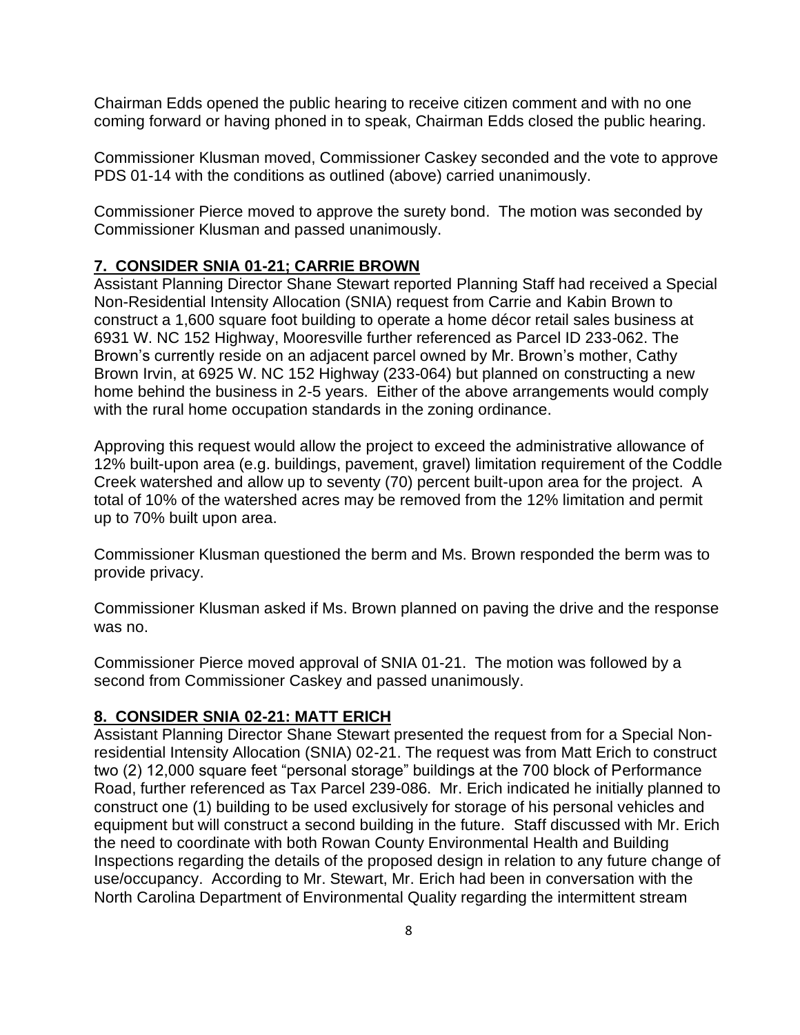Chairman Edds opened the public hearing to receive citizen comment and with no one coming forward or having phoned in to speak, Chairman Edds closed the public hearing.

Commissioner Klusman moved, Commissioner Caskey seconded and the vote to approve PDS 01-14 with the conditions as outlined (above) carried unanimously.

Commissioner Pierce moved to approve the surety bond. The motion was seconded by Commissioner Klusman and passed unanimously.

### **7. CONSIDER SNIA 01-21; CARRIE BROWN**

Assistant Planning Director Shane Stewart reported Planning Staff had received a Special Non-Residential Intensity Allocation (SNIA) request from Carrie and Kabin Brown to construct a 1,600 square foot building to operate a home décor retail sales business at 6931 W. NC 152 Highway, Mooresville further referenced as Parcel ID 233-062. The Brown's currently reside on an adjacent parcel owned by Mr. Brown's mother, Cathy Brown Irvin, at 6925 W. NC 152 Highway (233-064) but planned on constructing a new home behind the business in 2-5 years. Either of the above arrangements would comply with the rural home occupation standards in the zoning ordinance.

Approving this request would allow the project to exceed the administrative allowance of 12% built-upon area (e.g. buildings, pavement, gravel) limitation requirement of the Coddle Creek watershed and allow up to seventy (70) percent built-upon area for the project. A total of 10% of the watershed acres may be removed from the 12% limitation and permit up to 70% built upon area.

Commissioner Klusman questioned the berm and Ms. Brown responded the berm was to provide privacy.

Commissioner Klusman asked if Ms. Brown planned on paving the drive and the response was no.

Commissioner Pierce moved approval of SNIA 01-21. The motion was followed by a second from Commissioner Caskey and passed unanimously.

### **8. CONSIDER SNIA 02-21: MATT ERICH**

Assistant Planning Director Shane Stewart presented the request from for a Special Nonresidential Intensity Allocation (SNIA) 02-21. The request was from Matt Erich to construct two (2) 12,000 square feet "personal storage" buildings at the 700 block of Performance Road, further referenced as Tax Parcel 239-086. Mr. Erich indicated he initially planned to construct one (1) building to be used exclusively for storage of his personal vehicles and equipment but will construct a second building in the future. Staff discussed with Mr. Erich the need to coordinate with both Rowan County Environmental Health and Building Inspections regarding the details of the proposed design in relation to any future change of use/occupancy. According to Mr. Stewart, Mr. Erich had been in conversation with the North Carolina Department of Environmental Quality regarding the intermittent stream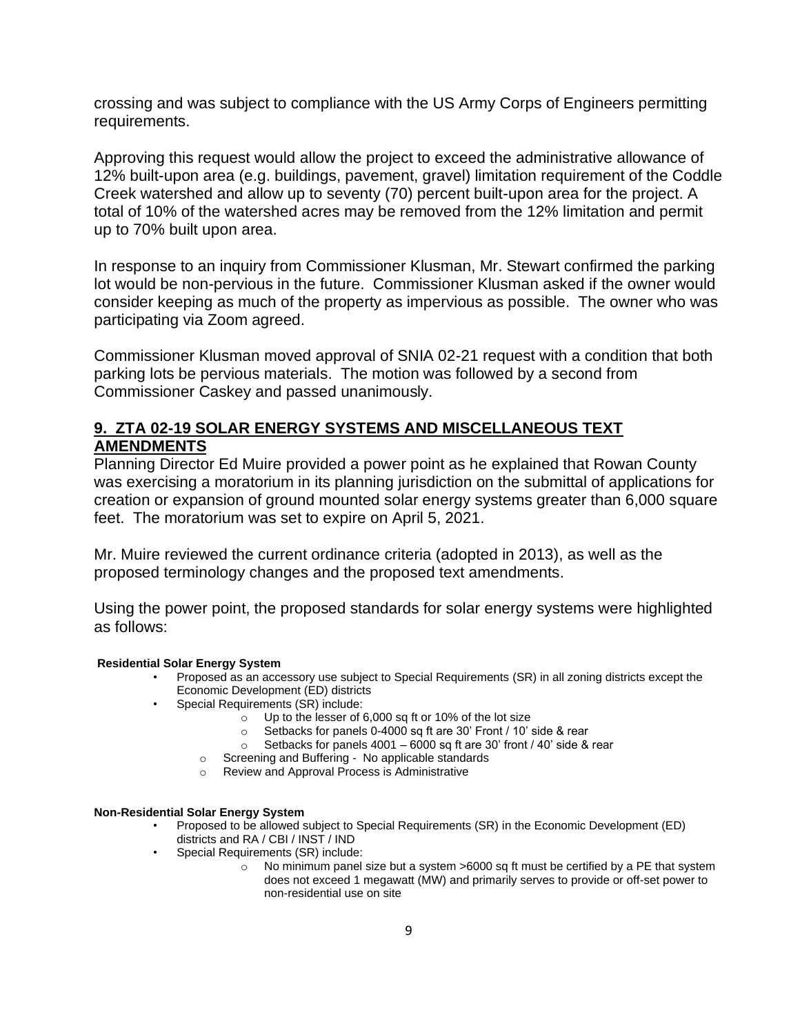crossing and was subject to compliance with the US Army Corps of Engineers permitting requirements.

Approving this request would allow the project to exceed the administrative allowance of 12% built-upon area (e.g. buildings, pavement, gravel) limitation requirement of the Coddle Creek watershed and allow up to seventy (70) percent built-upon area for the project. A total of 10% of the watershed acres may be removed from the 12% limitation and permit up to 70% built upon area.

In response to an inquiry from Commissioner Klusman, Mr. Stewart confirmed the parking lot would be non-pervious in the future. Commissioner Klusman asked if the owner would consider keeping as much of the property as impervious as possible. The owner who was participating via Zoom agreed.

Commissioner Klusman moved approval of SNIA 02-21 request with a condition that both parking lots be pervious materials. The motion was followed by a second from Commissioner Caskey and passed unanimously.

## **9. ZTA 02-19 SOLAR ENERGY SYSTEMS AND MISCELLANEOUS TEXT AMENDMENTS**

Planning Director Ed Muire provided a power point as he explained that Rowan County was exercising a moratorium in its planning jurisdiction on the submittal of applications for creation or expansion of ground mounted solar energy systems greater than 6,000 square feet. The moratorium was set to expire on April 5, 2021.

Mr. Muire reviewed the current ordinance criteria (adopted in 2013), as well as the proposed terminology changes and the proposed text amendments.

Using the power point, the proposed standards for solar energy systems were highlighted as follows:

#### **Residential Solar Energy System**

- Proposed as an accessory use subject to Special Requirements (SR) in all zoning districts except the Economic Development (ED) districts
- Special Requirements (SR) include:
	- o Up to the lesser of 6,000 sq ft or 10% of the lot size
	- o Setbacks for panels 0-4000 sq ft are 30' Front / 10' side & rear
	- $\circ$  Setbacks for panels 4001 6000 sq ft are 30' front / 40' side & rear
	- o Screening and Buffering No applicable standards
	- o Review and Approval Process is Administrative

#### **Non-Residential Solar Energy System**

- Proposed to be allowed subject to Special Requirements (SR) in the Economic Development (ED) districts and RA / CBI / INST / IND
- Special Requirements (SR) include:
	- $\circ$  No minimum panel size but a system  $>6000$  sq ft must be certified by a PE that system does not exceed 1 megawatt (MW) and primarily serves to provide or off-set power to non-residential use on site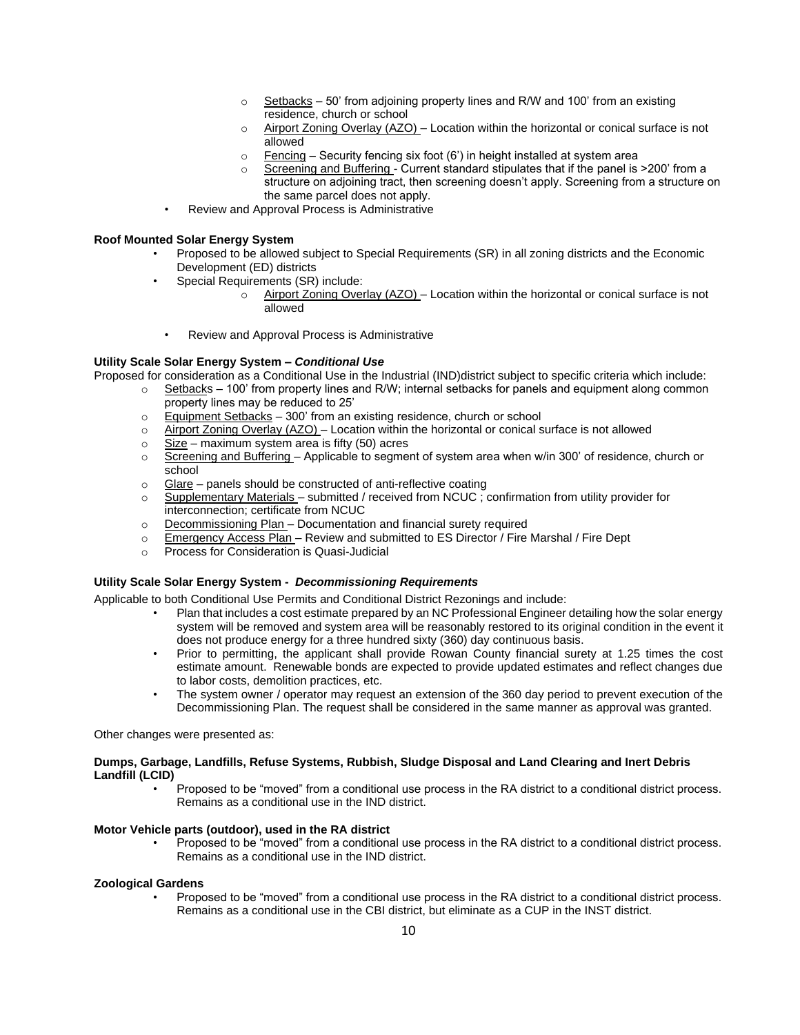- $\circ$  Setbacks 50' from adjoining property lines and R/W and 100' from an existing residence, church or school
- $\circ$  Airport Zoning Overlay (AZO) Location within the horizontal or conical surface is not allowed
- $\circ$  Fencing Security fencing six foot (6') in height installed at system area
- Screening and Buffering Current standard stipulates that if the panel is >200' from a structure on adjoining tract, then screening doesn't apply. Screening from a structure on the same parcel does not apply.
- Review and Approval Process is Administrative

#### **Roof Mounted Solar Energy System**

- Proposed to be allowed subject to Special Requirements (SR) in all zoning districts and the Economic Development (ED) districts
	- Special Requirements (SR) include:
		- $\circ$  Airport Zoning Overlay (AZO) Location within the horizontal or conical surface is not allowed
	- Review and Approval Process is Administrative

#### **Utility Scale Solar Energy System –** *Conditional Use*

Proposed for consideration as a Conditional Use in the Industrial (IND)district subject to specific criteria which include:

- $\circ$  Setbacks 100' from property lines and R/W; internal setbacks for panels and equipment along common property lines may be reduced to 25'
- $\circ$  Equipment Setbacks 300' from an existing residence, church or school
- $\circ$  Airport Zoning Overlay (AZO) Location within the horizontal or conical surface is not allowed
- $\circ$  Size maximum system area is fifty (50) acres
- $\circ$  Screening and Buffering Applicable to segment of system area when w/in 300' of residence, church or school
- o Glare panels should be constructed of anti-reflective coating
- o Supplementary Materials submitted / received from NCUC ; confirmation from utility provider for interconnection; certificate from NCUC
- o Decommissioning Plan Documentation and financial surety required
- o Emergency Access Plan Review and submitted to ES Director / Fire Marshal / Fire Dept
- o Process for Consideration is Quasi-Judicial

#### **Utility Scale Solar Energy System -** *Decommissioning Requirements*

Applicable to both Conditional Use Permits and Conditional District Rezonings and include:

- Plan that includes a cost estimate prepared by an NC Professional Engineer detailing how the solar energy system will be removed and system area will be reasonably restored to its original condition in the event it does not produce energy for a three hundred sixty (360) day continuous basis.
- Prior to permitting, the applicant shall provide Rowan County financial surety at 1.25 times the cost estimate amount. Renewable bonds are expected to provide updated estimates and reflect changes due to labor costs, demolition practices, etc.
- The system owner / operator may request an extension of the 360 day period to prevent execution of the Decommissioning Plan. The request shall be considered in the same manner as approval was granted.

#### Other changes were presented as:

#### **Dumps, Garbage, Landfills, Refuse Systems, Rubbish, Sludge Disposal and Land Clearing and Inert Debris Landfill (LCID)**

• Proposed to be "moved" from a conditional use process in the RA district to a conditional district process. Remains as a conditional use in the IND district.

#### **Motor Vehicle parts (outdoor), used in the RA district**

• Proposed to be "moved" from a conditional use process in the RA district to a conditional district process. Remains as a conditional use in the IND district.

#### **Zoological Gardens**

• Proposed to be "moved" from a conditional use process in the RA district to a conditional district process. Remains as a conditional use in the CBI district, but eliminate as a CUP in the INST district.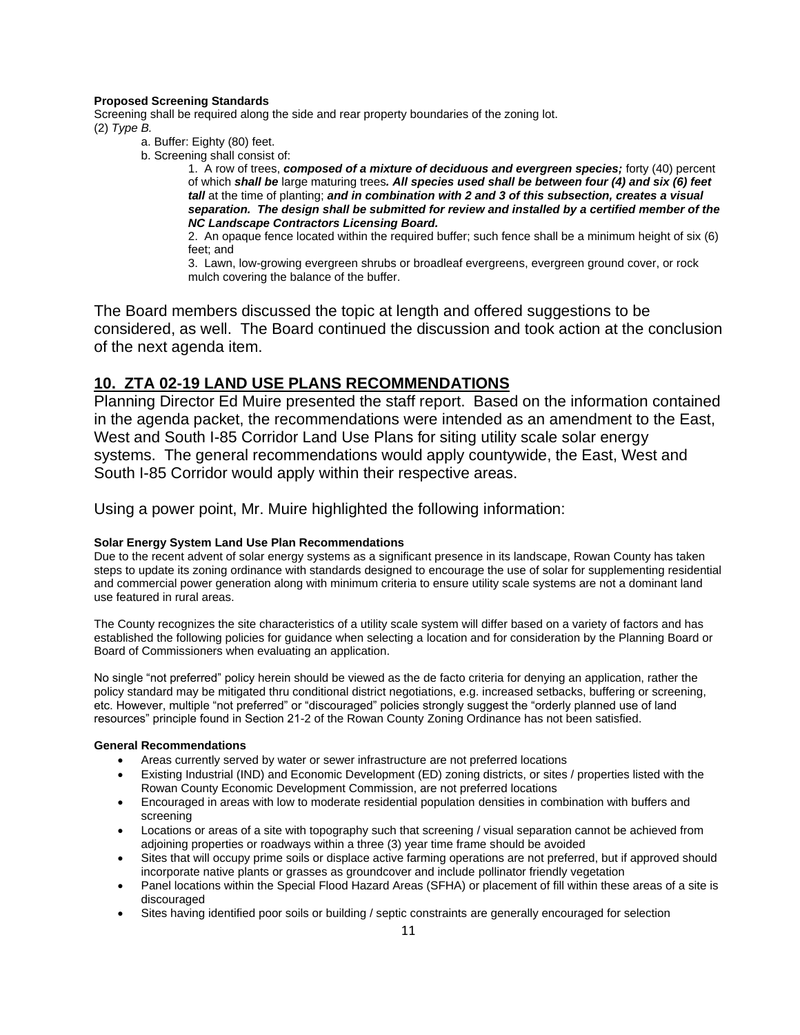#### **Proposed Screening Standards**

Screening shall be required along the side and rear property boundaries of the zoning lot. (2) *Type B.*

- a. Buffer: Eighty (80) feet.
- b. Screening shall consist of:

1. A row of trees, *composed of a mixture of deciduous and evergreen species;* forty (40) percent of which *shall be* large maturing trees*. All species used shall be between four (4) and six (6) feet tall* at the time of planting; *and in combination with 2 and 3 of this subsection, creates a visual separation. The design shall be submitted for review and installed by a certified member of the NC Landscape Contractors Licensing Board.*

2. An opaque fence located within the required buffer; such fence shall be a minimum height of six (6) feet; and

3. Lawn, low-growing evergreen shrubs or broadleaf evergreens, evergreen ground cover, or rock mulch covering the balance of the buffer.

The Board members discussed the topic at length and offered suggestions to be considered, as well. The Board continued the discussion and took action at the conclusion of the next agenda item.

### **10. ZTA 02-19 LAND USE PLANS RECOMMENDATIONS**

Planning Director Ed Muire presented the staff report. Based on the information contained in the agenda packet, the recommendations were intended as an amendment to the East, West and South I-85 Corridor Land Use Plans for siting utility scale solar energy systems. The general recommendations would apply countywide, the East, West and South I-85 Corridor would apply within their respective areas.

Using a power point, Mr. Muire highlighted the following information:

#### **Solar Energy System Land Use Plan Recommendations**

Due to the recent advent of solar energy systems as a significant presence in its landscape, Rowan County has taken steps to update its zoning ordinance with standards designed to encourage the use of solar for supplementing residential and commercial power generation along with minimum criteria to ensure utility scale systems are not a dominant land use featured in rural areas.

The County recognizes the site characteristics of a utility scale system will differ based on a variety of factors and has established the following policies for guidance when selecting a location and for consideration by the Planning Board or Board of Commissioners when evaluating an application.

No single "not preferred" policy herein should be viewed as the de facto criteria for denying an application, rather the policy standard may be mitigated thru conditional district negotiations, e.g. increased setbacks, buffering or screening, etc. However, multiple "not preferred" or "discouraged" policies strongly suggest the "orderly planned use of land resources" principle found in Section 21-2 of the Rowan County Zoning Ordinance has not been satisfied.

#### **General Recommendations**

- Areas currently served by water or sewer infrastructure are not preferred locations
- Existing Industrial (IND) and Economic Development (ED) zoning districts, or sites / properties listed with the Rowan County Economic Development Commission, are not preferred locations
- Encouraged in areas with low to moderate residential population densities in combination with buffers and screening
- Locations or areas of a site with topography such that screening / visual separation cannot be achieved from adjoining properties or roadways within a three (3) year time frame should be avoided
- Sites that will occupy prime soils or displace active farming operations are not preferred, but if approved should incorporate native plants or grasses as groundcover and include pollinator friendly vegetation
- Panel locations within the Special Flood Hazard Areas (SFHA) or placement of fill within these areas of a site is discouraged
- Sites having identified poor soils or building / septic constraints are generally encouraged for selection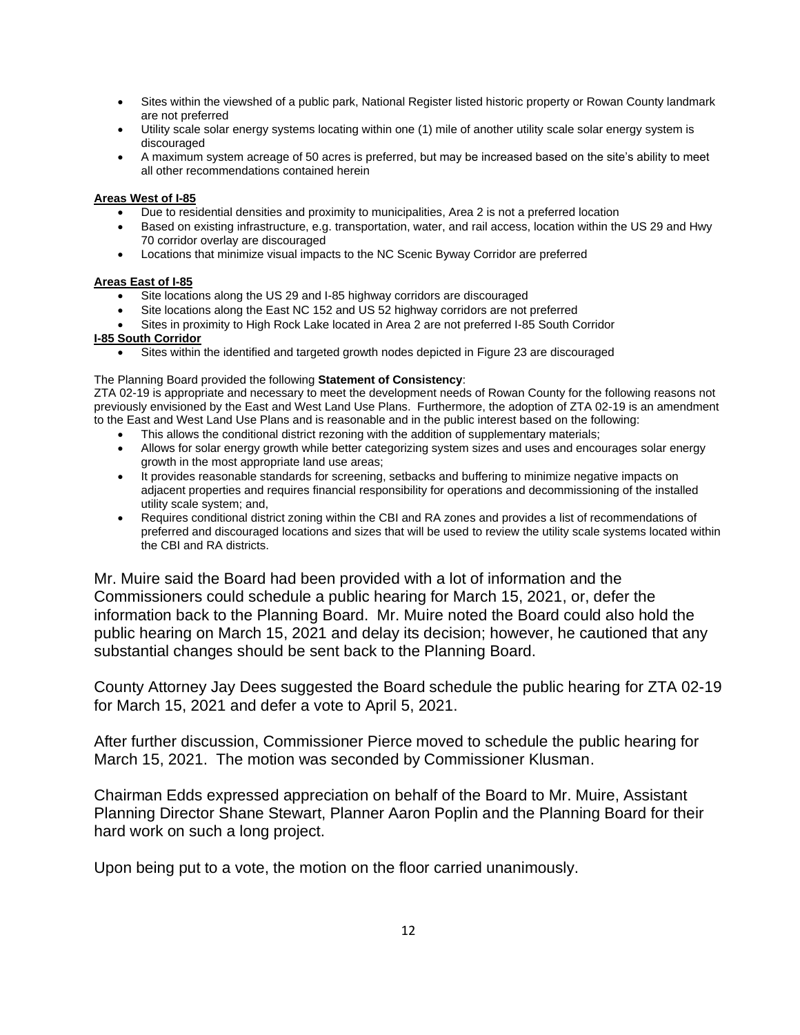- Sites within the viewshed of a public park, National Register listed historic property or Rowan County landmark are not preferred
- Utility scale solar energy systems locating within one (1) mile of another utility scale solar energy system is discouraged
- A maximum system acreage of 50 acres is preferred, but may be increased based on the site's ability to meet all other recommendations contained herein

#### **Areas West of I-85**

- Due to residential densities and proximity to municipalities, Area 2 is not a preferred location
- Based on existing infrastructure, e.g. transportation, water, and rail access, location within the US 29 and Hwy 70 corridor overlay are discouraged
- Locations that minimize visual impacts to the NC Scenic Byway Corridor are preferred

#### **Areas East of I-85**

- Site locations along the US 29 and I-85 highway corridors are discouraged
- Site locations along the East NC 152 and US 52 highway corridors are not preferred
- Sites in proximity to High Rock Lake located in Area 2 are not preferred I-85 South Corridor

#### **I-85 South Corridor**

Sites within the identified and targeted growth nodes depicted in Figure 23 are discouraged

#### The Planning Board provided the following **Statement of Consistency**:

ZTA 02-19 is appropriate and necessary to meet the development needs of Rowan County for the following reasons not previously envisioned by the East and West Land Use Plans. Furthermore, the adoption of ZTA 02-19 is an amendment to the East and West Land Use Plans and is reasonable and in the public interest based on the following:

- This allows the conditional district rezoning with the addition of supplementary materials;
- Allows for solar energy growth while better categorizing system sizes and uses and encourages solar energy growth in the most appropriate land use areas;
- It provides reasonable standards for screening, setbacks and buffering to minimize negative impacts on adjacent properties and requires financial responsibility for operations and decommissioning of the installed utility scale system; and,
- Requires conditional district zoning within the CBI and RA zones and provides a list of recommendations of preferred and discouraged locations and sizes that will be used to review the utility scale systems located within the CBI and RA districts.

Mr. Muire said the Board had been provided with a lot of information and the Commissioners could schedule a public hearing for March 15, 2021, or, defer the information back to the Planning Board. Mr. Muire noted the Board could also hold the public hearing on March 15, 2021 and delay its decision; however, he cautioned that any substantial changes should be sent back to the Planning Board.

County Attorney Jay Dees suggested the Board schedule the public hearing for ZTA 02-19 for March 15, 2021 and defer a vote to April 5, 2021.

After further discussion, Commissioner Pierce moved to schedule the public hearing for March 15, 2021. The motion was seconded by Commissioner Klusman.

Chairman Edds expressed appreciation on behalf of the Board to Mr. Muire, Assistant Planning Director Shane Stewart, Planner Aaron Poplin and the Planning Board for their hard work on such a long project.

Upon being put to a vote, the motion on the floor carried unanimously.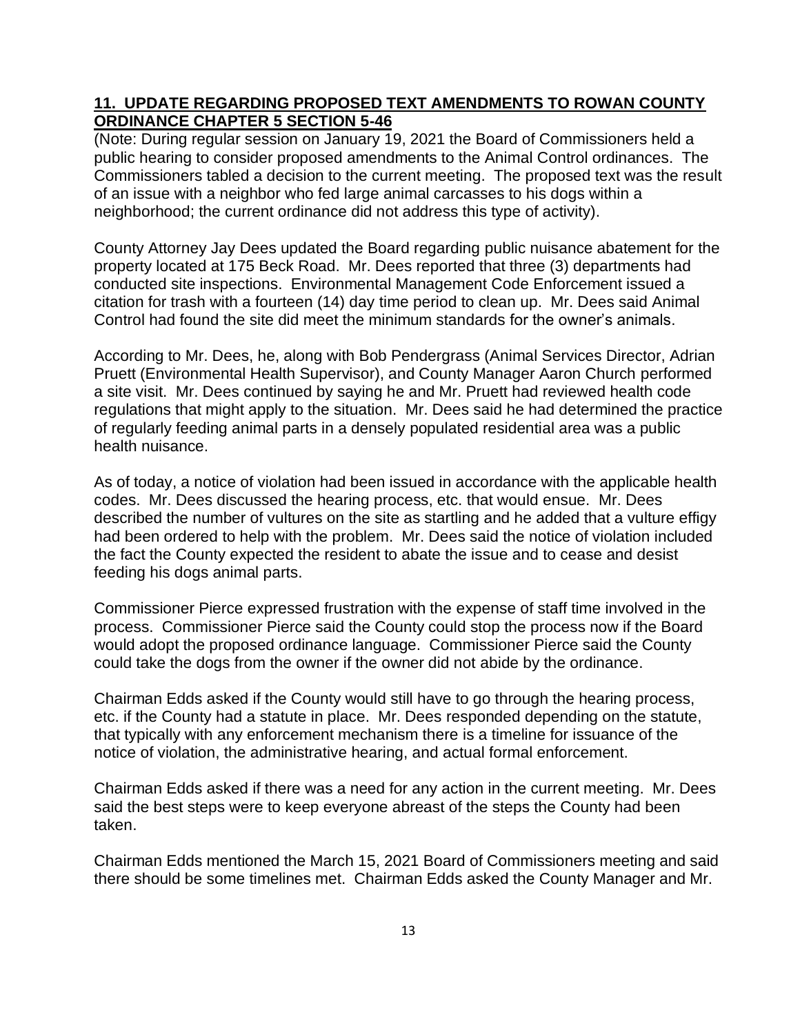## **11. UPDATE REGARDING PROPOSED TEXT AMENDMENTS TO ROWAN COUNTY ORDINANCE CHAPTER 5 SECTION 5-46**

(Note: During regular session on January 19, 2021 the Board of Commissioners held a public hearing to consider proposed amendments to the Animal Control ordinances. The Commissioners tabled a decision to the current meeting. The proposed text was the result of an issue with a neighbor who fed large animal carcasses to his dogs within a neighborhood; the current ordinance did not address this type of activity).

County Attorney Jay Dees updated the Board regarding public nuisance abatement for the property located at 175 Beck Road. Mr. Dees reported that three (3) departments had conducted site inspections. Environmental Management Code Enforcement issued a citation for trash with a fourteen (14) day time period to clean up. Mr. Dees said Animal Control had found the site did meet the minimum standards for the owner's animals.

According to Mr. Dees, he, along with Bob Pendergrass (Animal Services Director, Adrian Pruett (Environmental Health Supervisor), and County Manager Aaron Church performed a site visit. Mr. Dees continued by saying he and Mr. Pruett had reviewed health code regulations that might apply to the situation. Mr. Dees said he had determined the practice of regularly feeding animal parts in a densely populated residential area was a public health nuisance.

As of today, a notice of violation had been issued in accordance with the applicable health codes. Mr. Dees discussed the hearing process, etc. that would ensue. Mr. Dees described the number of vultures on the site as startling and he added that a vulture effigy had been ordered to help with the problem. Mr. Dees said the notice of violation included the fact the County expected the resident to abate the issue and to cease and desist feeding his dogs animal parts.

Commissioner Pierce expressed frustration with the expense of staff time involved in the process. Commissioner Pierce said the County could stop the process now if the Board would adopt the proposed ordinance language. Commissioner Pierce said the County could take the dogs from the owner if the owner did not abide by the ordinance.

Chairman Edds asked if the County would still have to go through the hearing process, etc. if the County had a statute in place. Mr. Dees responded depending on the statute, that typically with any enforcement mechanism there is a timeline for issuance of the notice of violation, the administrative hearing, and actual formal enforcement.

Chairman Edds asked if there was a need for any action in the current meeting. Mr. Dees said the best steps were to keep everyone abreast of the steps the County had been taken.

Chairman Edds mentioned the March 15, 2021 Board of Commissioners meeting and said there should be some timelines met. Chairman Edds asked the County Manager and Mr.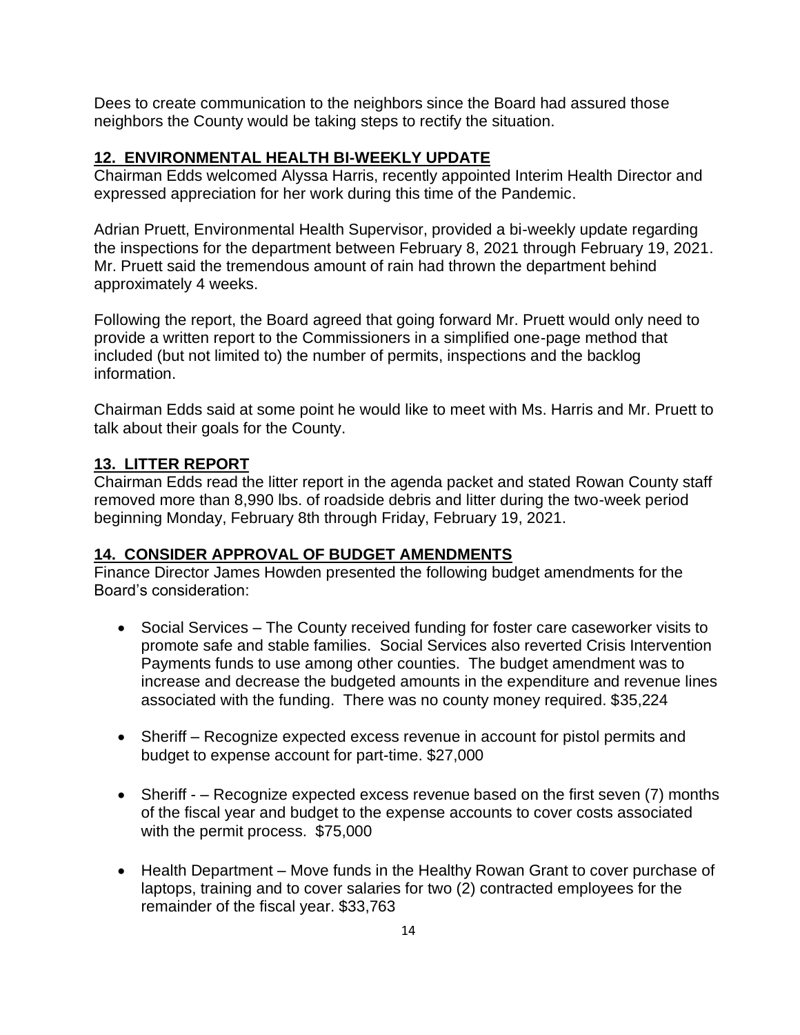Dees to create communication to the neighbors since the Board had assured those neighbors the County would be taking steps to rectify the situation.

# **12. ENVIRONMENTAL HEALTH BI-WEEKLY UPDATE**

Chairman Edds welcomed Alyssa Harris, recently appointed Interim Health Director and expressed appreciation for her work during this time of the Pandemic.

Adrian Pruett, Environmental Health Supervisor, provided a bi-weekly update regarding the inspections for the department between February 8, 2021 through February 19, 2021. Mr. Pruett said the tremendous amount of rain had thrown the department behind approximately 4 weeks.

Following the report, the Board agreed that going forward Mr. Pruett would only need to provide a written report to the Commissioners in a simplified one-page method that included (but not limited to) the number of permits, inspections and the backlog information.

Chairman Edds said at some point he would like to meet with Ms. Harris and Mr. Pruett to talk about their goals for the County.

# **13. LITTER REPORT**

Chairman Edds read the litter report in the agenda packet and stated Rowan County staff removed more than 8,990 lbs. of roadside debris and litter during the two-week period beginning Monday, February 8th through Friday, February 19, 2021.

# **14. CONSIDER APPROVAL OF BUDGET AMENDMENTS**

Finance Director James Howden presented the following budget amendments for the Board's consideration:

- Social Services The County received funding for foster care caseworker visits to promote safe and stable families. Social Services also reverted Crisis Intervention Payments funds to use among other counties. The budget amendment was to increase and decrease the budgeted amounts in the expenditure and revenue lines associated with the funding. There was no county money required. \$35,224
- Sheriff Recognize expected excess revenue in account for pistol permits and budget to expense account for part-time. \$27,000
- Sheriff – Recognize expected excess revenue based on the first seven (7) months of the fiscal year and budget to the expense accounts to cover costs associated with the permit process. \$75,000
- Health Department Move funds in the Healthy Rowan Grant to cover purchase of laptops, training and to cover salaries for two (2) contracted employees for the remainder of the fiscal year. \$33,763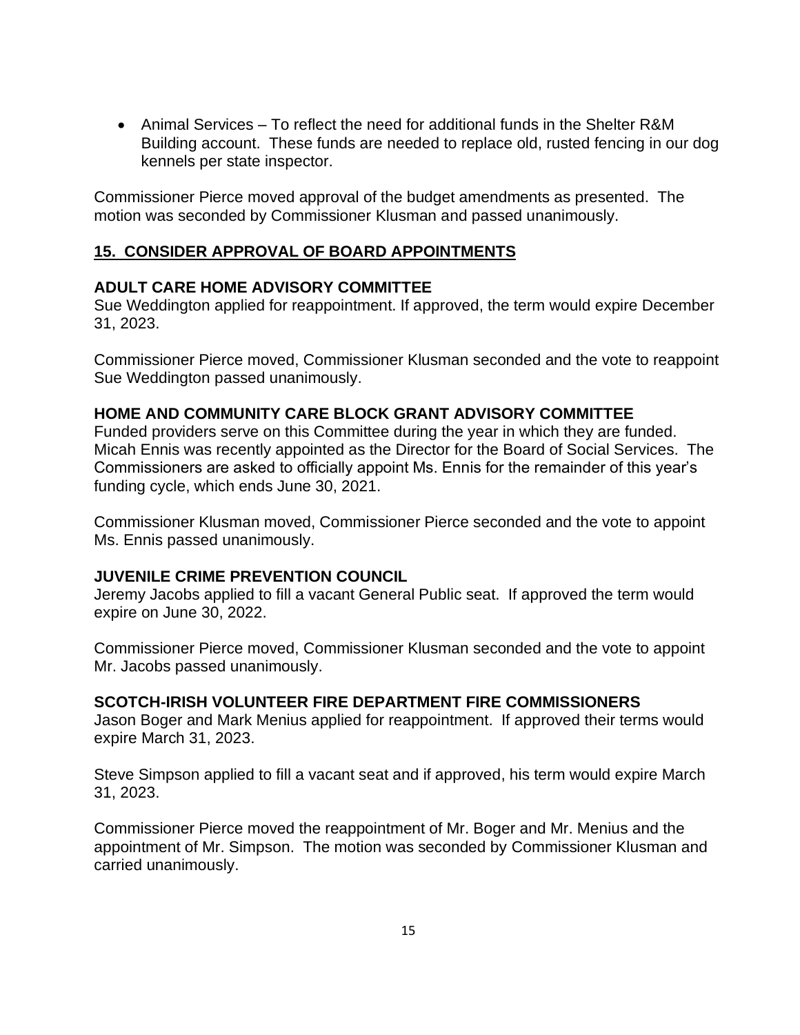• Animal Services – To reflect the need for additional funds in the Shelter R&M Building account. These funds are needed to replace old, rusted fencing in our dog kennels per state inspector.

Commissioner Pierce moved approval of the budget amendments as presented. The motion was seconded by Commissioner Klusman and passed unanimously.

# **15. CONSIDER APPROVAL OF BOARD APPOINTMENTS**

### **ADULT CARE HOME ADVISORY COMMITTEE**

Sue Weddington applied for reappointment. If approved, the term would expire December 31, 2023.

Commissioner Pierce moved, Commissioner Klusman seconded and the vote to reappoint Sue Weddington passed unanimously.

### **HOME AND COMMUNITY CARE BLOCK GRANT ADVISORY COMMITTEE**

Funded providers serve on this Committee during the year in which they are funded. Micah Ennis was recently appointed as the Director for the Board of Social Services. The Commissioners are asked to officially appoint Ms. Ennis for the remainder of this year's funding cycle, which ends June 30, 2021.

Commissioner Klusman moved, Commissioner Pierce seconded and the vote to appoint Ms. Ennis passed unanimously.

### **JUVENILE CRIME PREVENTION COUNCIL**

Jeremy Jacobs applied to fill a vacant General Public seat. If approved the term would expire on June 30, 2022.

Commissioner Pierce moved, Commissioner Klusman seconded and the vote to appoint Mr. Jacobs passed unanimously.

### **SCOTCH-IRISH VOLUNTEER FIRE DEPARTMENT FIRE COMMISSIONERS**

Jason Boger and Mark Menius applied for reappointment. If approved their terms would expire March 31, 2023.

Steve Simpson applied to fill a vacant seat and if approved, his term would expire March 31, 2023.

Commissioner Pierce moved the reappointment of Mr. Boger and Mr. Menius and the appointment of Mr. Simpson. The motion was seconded by Commissioner Klusman and carried unanimously.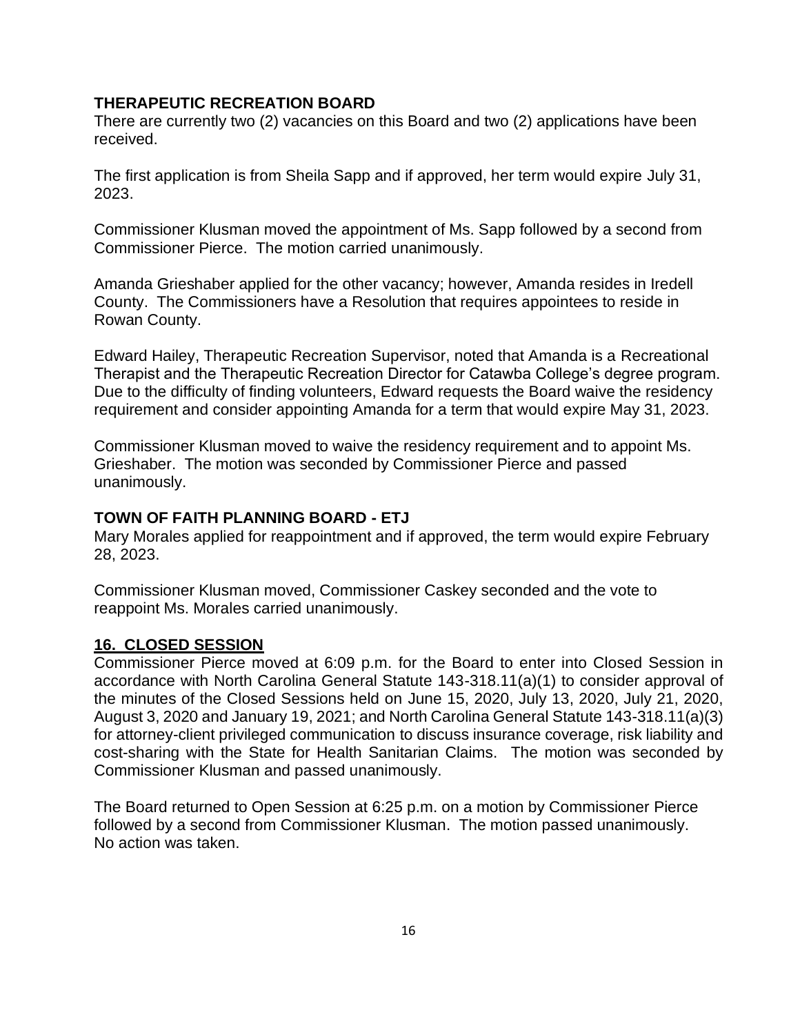## **THERAPEUTIC RECREATION BOARD**

There are currently two (2) vacancies on this Board and two (2) applications have been received.

The first application is from Sheila Sapp and if approved, her term would expire July 31, 2023.

Commissioner Klusman moved the appointment of Ms. Sapp followed by a second from Commissioner Pierce. The motion carried unanimously.

Amanda Grieshaber applied for the other vacancy; however, Amanda resides in Iredell County. The Commissioners have a Resolution that requires appointees to reside in Rowan County.

Edward Hailey, Therapeutic Recreation Supervisor, noted that Amanda is a Recreational Therapist and the Therapeutic Recreation Director for Catawba College's degree program. Due to the difficulty of finding volunteers, Edward requests the Board waive the residency requirement and consider appointing Amanda for a term that would expire May 31, 2023.

Commissioner Klusman moved to waive the residency requirement and to appoint Ms. Grieshaber. The motion was seconded by Commissioner Pierce and passed unanimously.

## **TOWN OF FAITH PLANNING BOARD - ETJ**

Mary Morales applied for reappointment and if approved, the term would expire February 28, 2023.

Commissioner Klusman moved, Commissioner Caskey seconded and the vote to reappoint Ms. Morales carried unanimously.

### **16. CLOSED SESSION**

Commissioner Pierce moved at 6:09 p.m. for the Board to enter into Closed Session in accordance with North Carolina General Statute 143-318.11(a)(1) to consider approval of the minutes of the Closed Sessions held on June 15, 2020, July 13, 2020, July 21, 2020, August 3, 2020 and January 19, 2021; and North Carolina General Statute 143-318.11(a)(3) for attorney-client privileged communication to discuss insurance coverage, risk liability and cost-sharing with the State for Health Sanitarian Claims. The motion was seconded by Commissioner Klusman and passed unanimously.

The Board returned to Open Session at 6:25 p.m. on a motion by Commissioner Pierce followed by a second from Commissioner Klusman. The motion passed unanimously. No action was taken.